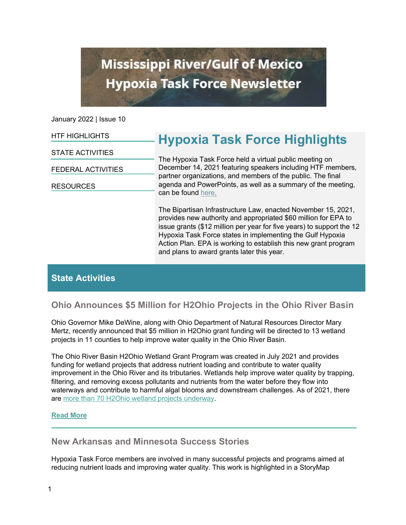# **Mississippi River/Gulf of Mexico Hypoxia Task Force Newsletter**

January 2022 | Issue 10

| <b>HTF HIGHLIGHTS</b>     | <b>Hypoxia Task Force Highlights</b>                                                                                                                                                                                                                                                                                                                                                     |
|---------------------------|------------------------------------------------------------------------------------------------------------------------------------------------------------------------------------------------------------------------------------------------------------------------------------------------------------------------------------------------------------------------------------------|
| <b>STATE ACTIVITIES</b>   | The Hypoxia Task Force held a virtual public meeting on<br>December 14, 2021 featuring speakers including HTF members,<br>partner organizations, and members of the public. The final<br>agenda and PowerPoints, as well as a summary of the meeting,<br>can be found here.                                                                                                              |
| <b>FEDERAL ACTIVITIES</b> |                                                                                                                                                                                                                                                                                                                                                                                          |
| <b>RESOURCES</b>          |                                                                                                                                                                                                                                                                                                                                                                                          |
|                           | The Bipartisan Infrastructure Law, enacted November 15, 2021,<br>provides new authority and appropriated \$60 million for EPA to<br>issue grants (\$12 million per year for five years) to support the 12<br>Hypoxia Task Force states in implementing the Gulf Hypoxia<br>Action Plan. EPA is working to establish this new grant program<br>and plans to award grants later this year. |

# **State Activities**

# **Ohio Announces \$5 Million for H2Ohio Projects in the Ohio River Basin**

Ohio Governor Mike DeWine, along with Ohio Department of Natural Resources Director Mary Mertz, recently announced that \$5 million in H2Ohio grant funding will be directed to 13 wetland projects in 11 counties to help improve water quality in the Ohio River Basin.

The Ohio River Basin H2Ohio Wetland Grant Program was created in July 2021 and provides funding for wetland projects that address nutrient loading and contribute to water quality improvement in the Ohio River and its tributaries. Wetlands help improve water quality by trapping, filtering, and removing excess pollutants and nutrients from the water before they flow into waterways and contribute to harmful algal blooms and downstream challenges. As of 2021, there are [more than 70 H2Ohio wetland projects underway.](https://lnks.gd/l/eyJhbGciOiJIUzI1NiJ9.eyJidWxsZXRpbl9saW5rX2lkIjoxMDQsInVyaSI6ImJwMjpjbGljayIsImJ1bGxldGluX2lkIjoiMjAyMTExMjQuNDkzMTY4NDEiLCJ1cmwiOiJodHRwczovL2gyLm9oaW8uZ292L25hdHVyYWwtcmVzb3VyY2VzLyJ9.vNbmYt-xeTtNjT8t8cbtpzBRyd2p_b8K3Cwq169Sj-Q/s/1806696891/br/121624883021-l)

## **[Read More](https://h2.ohio.gov/gov-dewine-announces-5m-for-h2ohio-projects-in-ohio-river-basin/)**

## **New Arkansas and Minnesota Success Stories**

Hypoxia Task Force members are involved in many successful projects and programs aimed at reducing nutrient loads and improving water quality. This work is highlighted in a StoryMap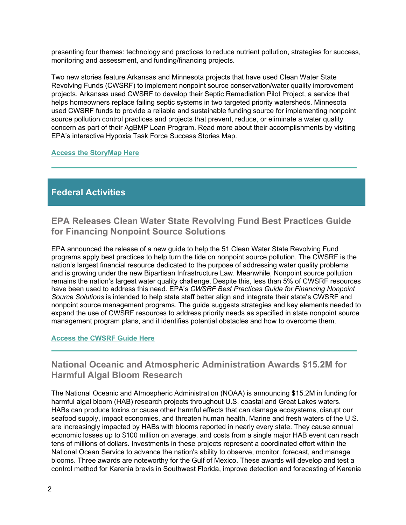presenting four themes: technology and practices to reduce nutrient pollution, strategies for success, monitoring and assessment, and funding/financing projects.

Two new stories feature Arkansas and Minnesota projects that have used Clean Water State Revolving Funds (CWSRF) to implement nonpoint source conservation/water quality improvement projects. Arkansas used CWSRF to develop their Septic Remediation Pilot Project, a service that helps homeowners replace failing septic systems in two targeted priority watersheds. Minnesota used CWSRF funds to provide a reliable and sustainable funding source for implementing nonpoint source pollution control practices and projects that prevent, reduce, or eliminate a water quality concern as part of their AgBMP Loan Program. Read more about their accomplishments by visiting EPA's interactive Hypoxia Task Force Success Stories Map.

#### **[Access the StoryMap Here](https://epa.maps.arcgis.com/apps/MapSeries/index.html?appid=e4652cf9284c406b9f3483896fccd85f)**

# **Federal Activities**

# **EPA Releases Clean Water State Revolving Fund Best Practices Guide for Financing Nonpoint Source Solutions**

EPA announced the release of a new guide to help the 51 Clean Water State Revolving Fund programs apply best practices to help turn the tide on nonpoint source pollution. The CWSRF is the nation's largest financial resource dedicated to the purpose of addressing water quality problems and is growing under the new Bipartisan Infrastructure Law. Meanwhile, Nonpoint source pollution remains the nation's largest water quality challenge. Despite this, less than 5% of CWSRF resources have been used to address this need. EPA's *CWSRF Best Practices Guide for Financing Nonpoint Source Solutions* is intended to help state staff better align and integrate their state's CWSRF and nonpoint source management programs. The guide suggests strategies and key elements needed to expand the use of CWSRF resources to address priority needs as specified in state nonpoint source management program plans, and it identifies potential obstacles and how to overcome them.

### **[Access the CWSRF Guide Here](https://www.epa.gov/cwsrf/clean-water-state-revolving-fund-cwsrf-reports#innovative)**

# **National Oceanic and Atmospheric Administration Awards \$15.2M for Harmful Algal Bloom Research**

The National Oceanic and Atmospheric Administration (NOAA) is announcing \$15.2M in funding for harmful algal bloom (HAB) research projects throughout U.S. coastal and Great Lakes waters. HABs can produce toxins or cause other harmful effects that can damage ecosystems, disrupt our seafood supply, impact economies, and threaten human health. Marine and fresh waters of the U.S. are increasingly impacted by HABs with blooms reported in nearly every state. They cause annual economic losses up to \$100 million on average, and costs from a single major HAB event can reach tens of millions of dollars. Investments in these projects represent a coordinated effort within the National Ocean Service to advance the nation's ability to observe, monitor, forecast, and manage blooms. Three awards are noteworthy for the Gulf of Mexico. These awards will develop and test a control method for Karenia brevis in Southwest Florida, improve detection and forecasting of Karenia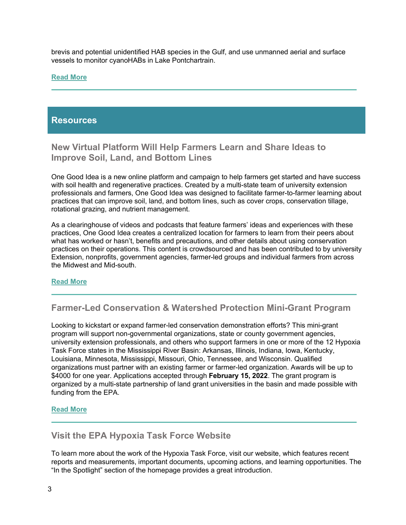brevis and potential unidentified HAB species in the Gulf, and use unmanned aerial and surface vessels to monitor cyanoHABs in Lake Pontchartrain.

#### **[Read More](https://oceanservice.noaa.gov/news/oct21/2021-hab-awards.html)**

## **Resources**

**New Virtual Platform Will Help Farmers Learn and Share Ideas to Improve Soil, Land, and Bottom Lines** 

One Good Idea is a new online platform and campaign to help farmers get started and have success with soil health and regenerative practices. Created by a multi-state team of university extension professionals and farmers, One Good Idea was designed to facilitate farmer-to-farmer learning about practices that can improve soil, land, and bottom lines, such as cover crops, conservation tillage, rotational grazing, and nutrient management.

As a clearinghouse of videos and podcasts that feature farmers' ideas and experiences with these practices, One Good Idea creates a centralized location for farmers to learn from their peers about what has worked or hasn't, benefits and precautions, and other details about using conservation practices on their operations. This content is crowdsourced and has been contributed to by university Extension, nonprofits, government agencies, farmer-led groups and individual farmers from across the Midwest and Mid-south.

#### **[Read More](https://goodideafarm.org/)**

**Farmer-Led Conservation & Watershed Protection Mini-Grant Program**

Looking to kickstart or expand farmer-led conservation demonstration efforts? This mini-grant program will support non-governmental organizations, state or county government agencies, university extension professionals, and others who support farmers in one or more of the 12 Hypoxia Task Force states in the Mississippi River Basin: Arkansas, Illinois, Indiana, Iowa, Kentucky, Louisiana, Minnesota, Mississippi, Missouri, Ohio, Tennessee, and Wisconsin. Qualified organizations must partner with an existing farmer or farmer-led organization. Awards will be up to \$4000 for one year. Applications accepted through **February 15, 2022**. The grant program is organized by a multi-state partnership of land grant universities in the basin and made possible with funding from the EPA.

#### **[Read More](https://www.reach.msstate.edu/grant-application.php)**

## **Visit the EPA Hypoxia Task Force Website**

To learn more about the work of the Hypoxia Task Force, visit our website, which features recent reports and measurements, important documents, upcoming actions, and learning opportunities. The "In the Spotlight" section of the homepage provides a great introduction.